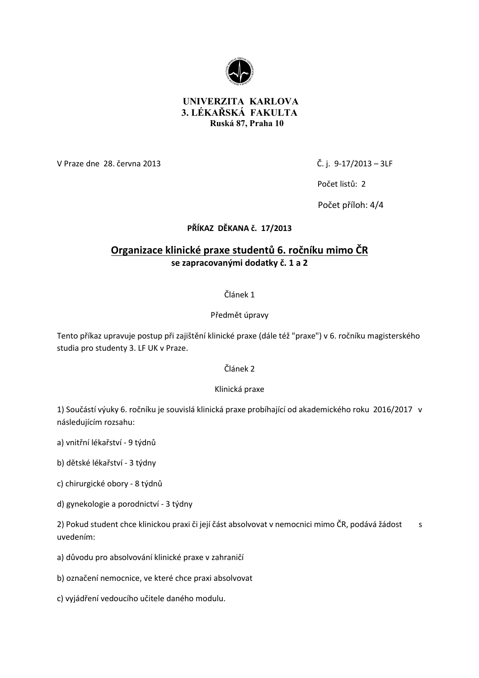

# **UNIVERZITA KARLOVA 3. LÉKAŘSKÁ FAKULTA Ruská 87, Praha 10**

V Praze dne 28. června 2013 Č. j. 9-17/2013 – 3LF

Počet listů: 2

Počet příloh: 4/4

# **PŘÍKAZ DĚKANA č. 17/2013**

# **Organizace klinické praxe studentů 6. ročníku mimo ČR se zapracovanými dodatky č. 1 a 2**

# Článek 1

# Předmět úpravy

Tento příkaz upravuje postup při zajištění klinické praxe (dále též "praxe") v 6. ročníku magisterského studia pro studenty 3. LF UK v Praze.

# Článek 2

#### Klinická praxe

1) Součástí výuky 6. ročníku je souvislá klinická praxe probíhající od akademického roku 2016/2017 v následujícím rozsahu:

- a) vnitřní lékařství 9 týdnů
- b) dětské lékařství 3 týdny
- c) chirurgické obory 8 týdnů
- d) gynekologie a porodnictví 3 týdny

2) Pokud student chce klinickou praxi či její část absolvovat v nemocnici mimo ČR, podává žádost s uvedením:

- a) důvodu pro absolvování klinické praxe v zahraničí
- b) označení nemocnice, ve které chce praxi absolvovat
- c) vyjádření vedoucího učitele daného modulu.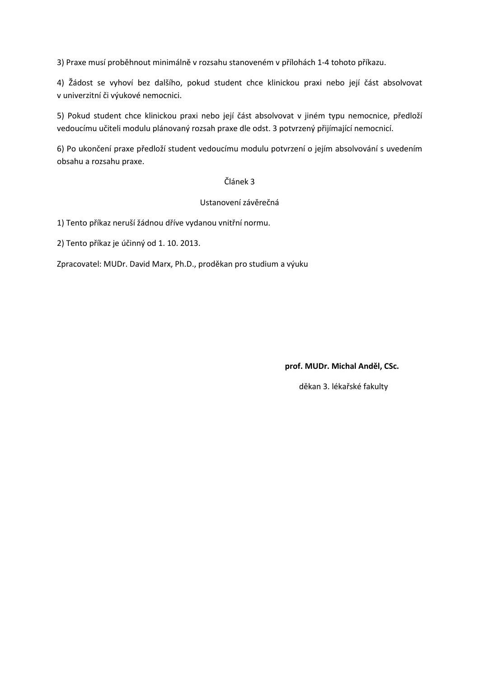3) Praxe musí proběhnout minimálně v rozsahu stanoveném v přílohách 1-4 tohoto příkazu.

4) Žádost se vyhoví bez dalšího, pokud student chce klinickou praxi nebo její část absolvovat v univerzitní či výukové nemocnici.

5) Pokud student chce klinickou praxi nebo její část absolvovat v jiném typu nemocnice, předloží vedoucímu učiteli modulu plánovaný rozsah praxe dle odst. 3 potvrzený přijímající nemocnicí.

6) Po ukončení praxe předloží student vedoucímu modulu potvrzení o jejím absolvování s uvedením obsahu a rozsahu praxe.

#### Článek 3

#### Ustanovení závěrečná

1) Tento příkaz neruší žádnou dříve vydanou vnitřní normu.

2) Tento příkaz je účinný od 1. 10. 2013.

Zpracovatel: MUDr. David Marx, Ph.D., proděkan pro studium a výuku

**prof. MUDr. Michal Anděl, CSc.** 

děkan 3. lékařské fakulty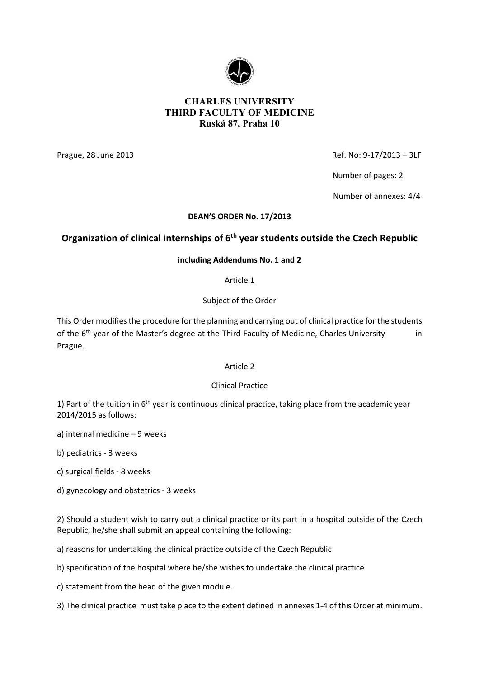

# **CHARLES UNIVERSITY THIRD FACULTY OF MEDICINE Ruská 87, Praha 10**

Prague, 28 June 2013 **Prague, 28 June 2013 Ref. No: 9-17/2013 – 3LF** 

Number of pages: 2

Number of annexes: 4/4

## **DEAN'S ORDER No. 17/2013**

# **Organization of clinical internships of 6th year students outside the Czech Republic**

## **including Addendums No. 1 and 2**

Article 1

Subject of the Order

This Order modifies the procedure for the planning and carrying out of clinical practice for the students of the  $6<sup>th</sup>$  year of the Master's degree at the Third Faculty of Medicine, Charles University in Prague.

# Article 2

# Clinical Practice

1) Part of the tuition in  $6<sup>th</sup>$  year is continuous clinical practice, taking place from the academic year 2014/2015 as follows:

a) internal medicine – 9 weeks

b) pediatrics - 3 weeks

c) surgical fields - 8 weeks

d) gynecology and obstetrics - 3 weeks

2) Should a student wish to carry out a clinical practice or its part in a hospital outside of the Czech Republic, he/she shall submit an appeal containing the following:

a) reasons for undertaking the clinical practice outside of the Czech Republic

b) specification of the hospital where he/she wishes to undertake the clinical practice

c) statement from the head of the given module.

3) The clinical practice must take place to the extent defined in annexes 1-4 of this Order at minimum.